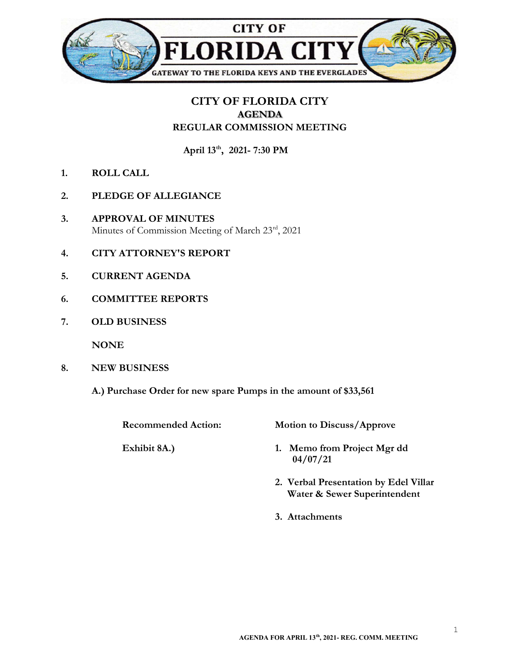

## CITY OF FLORIDA CITY AGENDA REGULAR COMMISSION MEETING

April 13<sup>th</sup>, 2021- 7:30 PM

- 1. ROLL CALL
- 2. PLEDGE OF ALLEGIANCE
- 3. APPROVAL OF MINUTES Minutes of Commission Meeting of March 23rd, 2021
- 4. CITY ATTORNEY'S REPORT
- 5. CURRENT AGENDA
- 6. COMMITTEE REPORTS
- 7. OLD BUSINESS

NONE

- 8. NEW BUSINESS
	- A.) Purchase Order for new spare Pumps in the amount of \$33,561

Recommended Action: Motion to Discuss/Approve

- Exhibit 8A.) 1. Memo from Project Mgr dd 04/07/21
	- 2. Verbal Presentation by Edel Villar Water & Sewer Superintendent
	- 3. Attachments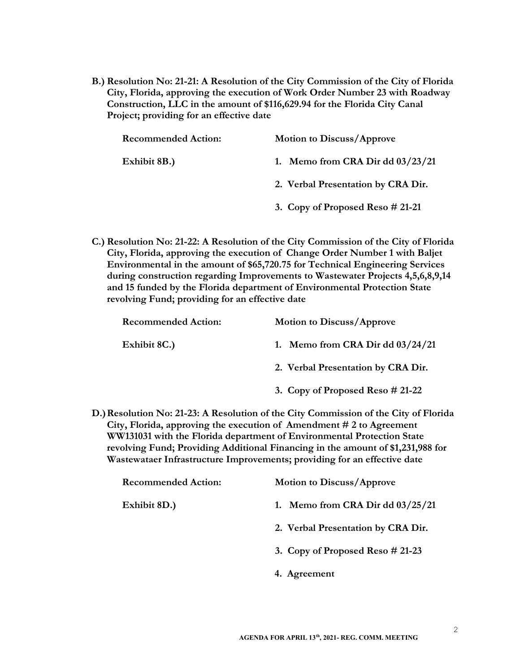B.) Resolution No: 21-21: A Resolution of the City Commission of the City of Florida City, Florida, approving the execution of Work Order Number 23 with Roadway Construction, LLC in the amount of \$116,629.94 for the Florida City Canal Project; providing for an effective date

| <b>Recommended Action:</b> | <b>Motion to Discuss/Approve</b>    |
|----------------------------|-------------------------------------|
| Exhibit 8B.)               | 1. Memo from CRA Dir dd $03/23/21$  |
|                            | 2. Verbal Presentation by CRA Dir.  |
|                            | 3. Copy of Proposed Reso $\#$ 21-21 |

C.) Resolution No: 21-22: A Resolution of the City Commission of the City of Florida City, Florida, approving the execution of Change Order Number 1 with Baljet Environmental in the amount of \$65,720.75 for Technical Engineering Services during construction regarding Improvements to Wastewater Projects 4,5,6,8,9,14 and 15 funded by the Florida department of Environmental Protection State revolving Fund; providing for an effective date

| <b>Recommended Action:</b> | <b>Motion to Discuss/Approve</b>                                                     |
|----------------------------|--------------------------------------------------------------------------------------|
| Exhibit 8C.)               | 1. Memo from CRA Dir dd $03/24/21$                                                   |
|                            | 2. Verbal Presentation by CRA Dir.                                                   |
|                            | 3. Copy of Proposed Reso $\#$ 21-22                                                  |
|                            | D.) Resolution No: 21-23: A Resolution of the City Commission of the City of Florida |

City, Florida, approving the execution of Amendment # 2 to Agreement WW131031 with the Florida department of Environmental Protection State revolving Fund; Providing Additional Financing in the amount of \$1,231,988 for Wastewataer Infrastructure Improvements; providing for an effective date

| <b>Recommended Action:</b> | <b>Motion to Discuss/Approve</b>   |
|----------------------------|------------------------------------|
| Exhibit 8D.)               | 1. Memo from CRA Dir dd $03/25/21$ |
|                            | 2. Verbal Presentation by CRA Dir. |
|                            | 3. Copy of Proposed Reso $#21-23$  |
|                            | 4. Agreement                       |